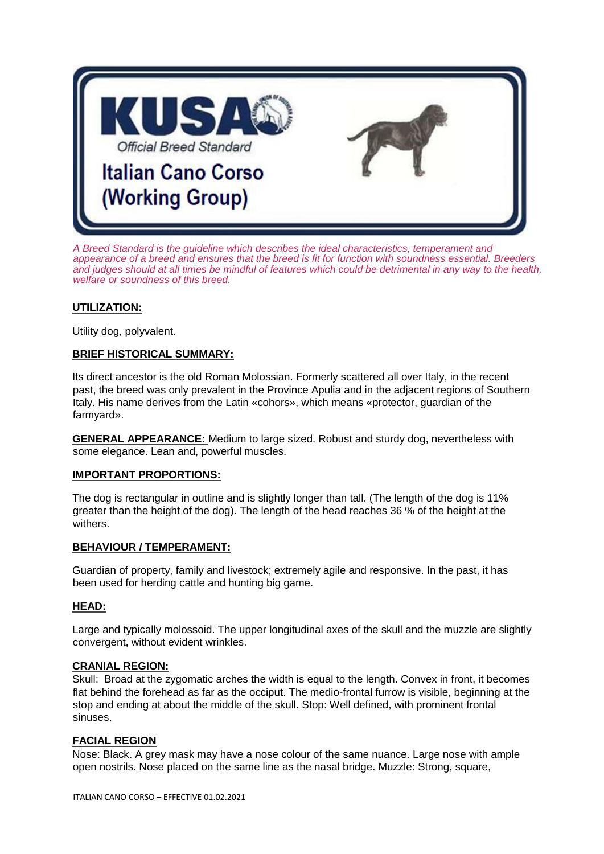

*A Breed Standard is the guideline which describes the ideal characteristics, temperament and appearance of a breed and ensures that the breed is fit for function with soundness essential. Breeders and judges should at all times be mindful of features which could be detrimental in any way to the health, welfare or soundness of this breed.*

### **UTILIZATION:**

Utility dog, polyvalent.

### **BRIEF HISTORICAL SUMMARY:**

Its direct ancestor is the old Roman Molossian. Formerly scattered all over Italy, in the recent past, the breed was only prevalent in the Province Apulia and in the adjacent regions of Southern Italy. His name derives from the Latin «cohors», which means «protector, guardian of the farmyard».

**GENERAL APPEARANCE:** Medium to large sized. Robust and sturdy dog, nevertheless with some elegance. Lean and, powerful muscles.

### **IMPORTANT PROPORTIONS:**

The dog is rectangular in outline and is slightly longer than tall. (The length of the dog is 11% greater than the height of the dog). The length of the head reaches 36 % of the height at the withers.

### **BEHAVIOUR / TEMPERAMENT:**

Guardian of property, family and livestock; extremely agile and responsive. In the past, it has been used for herding cattle and hunting big game.

### **HEAD:**

Large and typically molossoid. The upper longitudinal axes of the skull and the muzzle are slightly convergent, without evident wrinkles.

#### **CRANIAL REGION:**

Skull: Broad at the zygomatic arches the width is equal to the length. Convex in front, it becomes flat behind the forehead as far as the occiput. The medio-frontal furrow is visible, beginning at the stop and ending at about the middle of the skull. Stop: Well defined, with prominent frontal sinuses.

### **FACIAL REGION**

Nose: Black. A grey mask may have a nose colour of the same nuance. Large nose with ample open nostrils. Nose placed on the same line as the nasal bridge. Muzzle: Strong, square,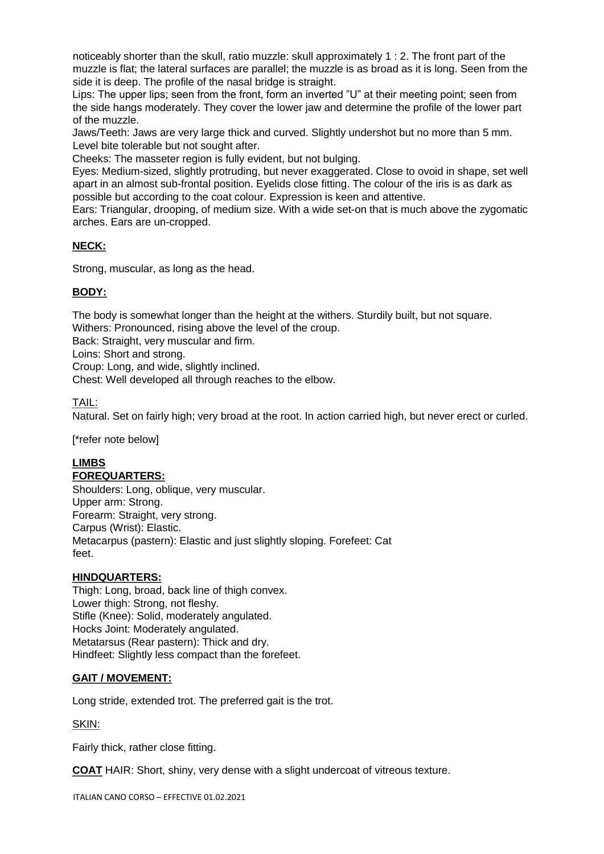noticeably shorter than the skull, ratio muzzle: skull approximately 1 : 2. The front part of the muzzle is flat; the lateral surfaces are parallel; the muzzle is as broad as it is long. Seen from the side it is deep. The profile of the nasal bridge is straight.

Lips: The upper lips; seen from the front, form an inverted "U" at their meeting point; seen from the side hangs moderately. They cover the lower jaw and determine the profile of the lower part of the muzzle.

Jaws/Teeth: Jaws are very large thick and curved. Slightly undershot but no more than 5 mm. Level bite tolerable but not sought after.

Cheeks: The masseter region is fully evident, but not bulging.

Eyes: Medium-sized, slightly protruding, but never exaggerated. Close to ovoid in shape, set well apart in an almost sub-frontal position. Eyelids close fitting. The colour of the iris is as dark as possible but according to the coat colour. Expression is keen and attentive.

Ears: Triangular, drooping, of medium size. With a wide set-on that is much above the zygomatic arches. Ears are un-cropped.

# **NECK:**

Strong, muscular, as long as the head.

# **BODY:**

The body is somewhat longer than the height at the withers. Sturdily built, but not square. Withers: Pronounced, rising above the level of the croup.

Back: Straight, very muscular and firm.

Loins: Short and strong.

Croup: Long, and wide, slightly inclined.

Chest: Well developed all through reaches to the elbow.

### TAIL:

Natural. Set on fairly high; very broad at the root. In action carried high, but never erect or curled.

[\*refer note below]

# **LIMBS**

### **FOREQUARTERS:**

Shoulders: Long, oblique, very muscular. Upper arm: Strong. Forearm: Straight, very strong. Carpus (Wrist): Elastic. Metacarpus (pastern): Elastic and just slightly sloping. Forefeet: Cat feet.

### **HINDQUARTERS:**

Thigh: Long, broad, back line of thigh convex. Lower thigh: Strong, not fleshy. Stifle (Knee): Solid, moderately angulated. Hocks Joint: Moderately angulated. Metatarsus (Rear pastern): Thick and dry. Hindfeet: Slightly less compact than the forefeet.

### **GAIT / MOVEMENT:**

Long stride, extended trot. The preferred gait is the trot.

SKIN:

Fairly thick, rather close fitting.

**COAT** HAIR: Short, shiny, very dense with a slight undercoat of vitreous texture.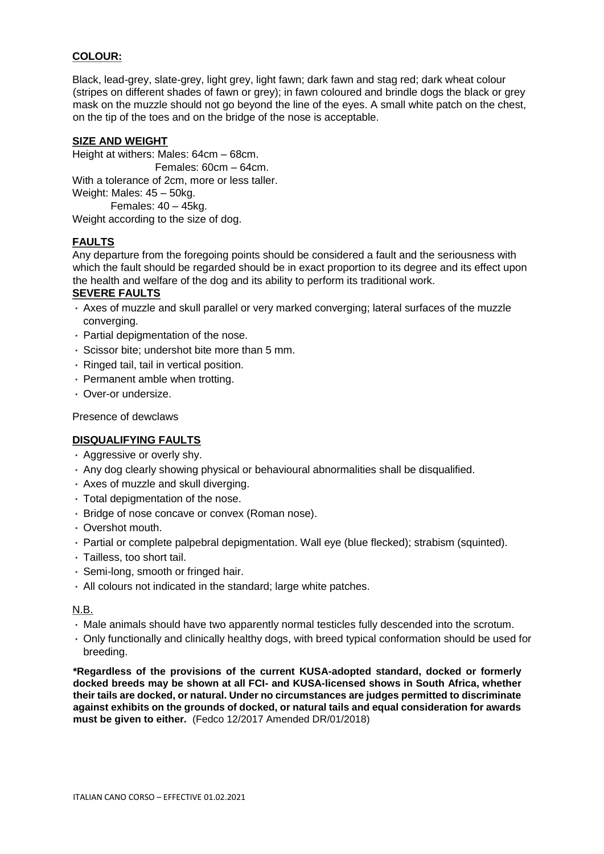### **COLOUR:**

Black, lead-grey, slate-grey, light grey, light fawn; dark fawn and stag red; dark wheat colour (stripes on different shades of fawn or grey); in fawn coloured and brindle dogs the black or grey mask on the muzzle should not go beyond the line of the eyes. A small white patch on the chest, on the tip of the toes and on the bridge of the nose is acceptable.

### **SIZE AND WEIGHT**

Height at withers: Males: 64cm – 68cm. Females: 60cm – 64cm. With a tolerance of 2cm, more or less taller. Weight: Males: 45 – 50kg. Females: 40 – 45kg.

Weight according to the size of dog.

# **FAULTS**

Any departure from the foregoing points should be considered a fault and the seriousness with which the fault should be regarded should be in exact proportion to its degree and its effect upon the health and welfare of the dog and its ability to perform its traditional work.

### **SEVERE FAULTS**

- Axes of muzzle and skull parallel or very marked converging; lateral surfaces of the muzzle converging.
- Partial depigmentation of the nose.
- Scissor bite; undershot bite more than 5 mm.
- Ringed tail, tail in vertical position.
- Permanent amble when trotting.
- Over-or undersize.

Presence of dewclaws

### **DISQUALIFYING FAULTS**

- Aggressive or overly shy.
- Any dog clearly showing physical or behavioural abnormalities shall be disqualified.
- Axes of muzzle and skull diverging.
- Total depigmentation of the nose.
- Bridge of nose concave or convex (Roman nose).
- Overshot mouth.
- Partial or complete palpebral depigmentation. Wall eve (blue flecked): strabism (squinted).
- Tailless, too short tail.
- Semi-long, smooth or fringed hair.
- All colours not indicated in the standard; large white patches.

### N.B.

- Male animals should have two apparently normal testicles fully descended into the scrotum.
- Only functionally and clinically healthy dogs, with breed typical conformation should be used for breeding.

**\*Regardless of the provisions of the current KUSA-adopted standard, docked or formerly docked breeds may be shown at all FCI- and KUSA-licensed shows in South Africa, whether their tails are docked, or natural. Under no circumstances are judges permitted to discriminate against exhibits on the grounds of docked, or natural tails and equal consideration for awards must be given to either.** (Fedco 12/2017 Amended DR/01/2018)